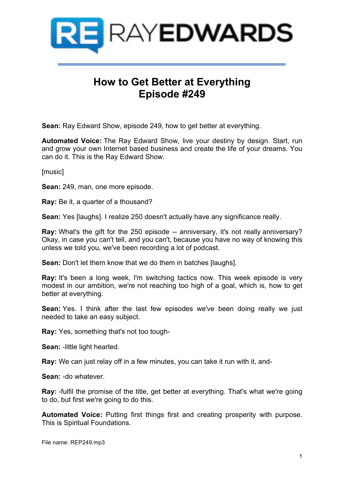

## **How to Get Better at Everything Episode #249**

**Sean:** Ray Edward Show, episode 249, how to get better at everything.

**Automated Voice:** The Ray Edward Show, live your destiny by design. Start, run and grow your own Internet based business and create the life of your dreams. You can do it. This is the Ray Edward Show.

[music]

**Sean:** 249, man, one more episode.

**Ray:** Be it, a quarter of a thousand?

**Sean:** Yes [laughs]. I realize 250 doesn't actually have any significance really.

**Ray:** What's the gift for the 250 episode -- anniversary, it's not really anniversary? Okay, in case you can't tell, and you can't, because you have no way of knowing this unless we told you, we've been recording a lot of podcast.

**Sean:** Don't let them know that we do them in batches [laughs].

**Ray:** It's been a long week, I'm switching tactics now. This week episode is very modest in our ambition, we're not reaching too high of a goal, which is, how to get better at everything.

**Sean:** Yes. I think after the last few episodes we've been doing really we just needed to take an easy subject.

**Ray:** Yes, something that's not too tough-

**Sean:** -little light hearted.

**Ray:** We can just relay off in a few minutes, you can take it run with it, and-

**Sean:** -do whatever.

**Ray:** -fulfil the promise of the title, get better at everything. That's what we're going to do, but first we're going to do this.

**Automated Voice:** Putting first things first and creating prosperity with purpose. This is Spiritual Foundations.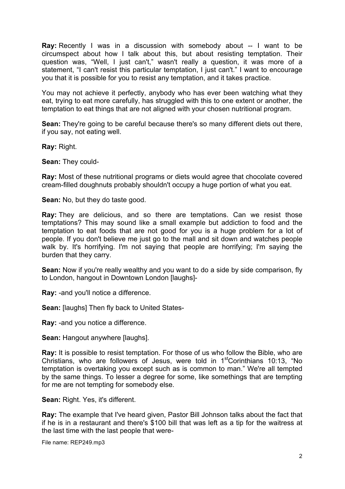**Ray:** Recently I was in a discussion with somebody about -- I want to be circumspect about how I talk about this, but about resisting temptation. Their question was, "Well, I just can't," wasn't really a question, it was more of a statement, "I can't resist this particular temptation, I just can't." I want to encourage you that it is possible for you to resist any temptation, and it takes practice.

You may not achieve it perfectly, anybody who has ever been watching what they eat, trying to eat more carefully, has struggled with this to one extent or another, the temptation to eat things that are not aligned with your chosen nutritional program.

**Sean:** They're going to be careful because there's so many different diets out there, if you say, not eating well.

**Ray:** Right.

**Sean:** They could-

**Ray:** Most of these nutritional programs or diets would agree that chocolate covered cream-filled doughnuts probably shouldn't occupy a huge portion of what you eat.

**Sean:** No, but they do taste good.

**Ray:** They are delicious, and so there are temptations. Can we resist those temptations? This may sound like a small example but addiction to food and the temptation to eat foods that are not good for you is a huge problem for a lot of people. If you don't believe me just go to the mall and sit down and watches people walk by. It's horrifying. I'm not saying that people are horrifying; I'm saying the burden that they carry.

**Sean:** Now if you're really wealthy and you want to do a side by side comparison, fly to London, hangout in Downtown London [laughs]-

**Ray:** -and you'll notice a difference.

**Sean:** [laughs] Then fly back to United States-

**Ray:** -and you notice a difference.

**Sean: Hangout anywhere [laughs].** 

**Ray:** It is possible to resist temptation. For those of us who follow the Bible, who are Christians, who are followers of Jesus, were told in  $1<sup>st</sup>$ Corinthians 10:13, "No temptation is overtaking you except such as is common to man." We're all tempted by the same things. To lesser a degree for some, like somethings that are tempting for me are not tempting for somebody else.

**Sean:** Right. Yes, it's different.

**Ray:** The example that I've heard given, Pastor Bill Johnson talks about the fact that if he is in a restaurant and there's \$100 bill that was left as a tip for the waitress at the last time with the last people that were-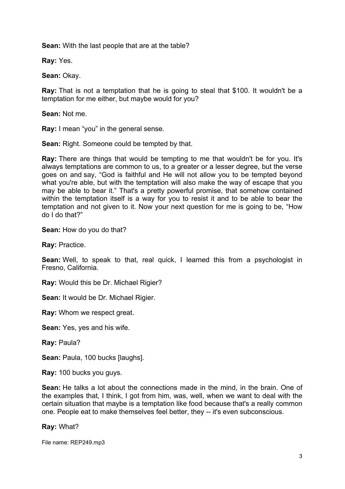**Sean:** With the last people that are at the table?

**Ray:** Yes.

**Sean:** Okay.

**Ray:** That is not a temptation that he is going to steal that \$100. It wouldn't be a temptation for me either, but maybe would for you?

**Sean:** Not me.

**Ray:** I mean "you" in the general sense.

**Sean:** Right. Someone could be tempted by that.

**Ray:** There are things that would be tempting to me that wouldn't be for you. It's always temptations are common to us, to a greater or a lesser degree, but the verse goes on and say, "God is faithful and He will not allow you to be tempted beyond what you're able, but with the temptation will also make the way of escape that you may be able to bear it." That's a pretty powerful promise, that somehow contained within the temptation itself is a way for you to resist it and to be able to bear the temptation and not given to it. Now your next question for me is going to be, "How do I do that?"

**Sean:** How do you do that?

**Ray:** Practice.

**Sean:** Well, to speak to that, real quick, I learned this from a psychologist in Fresno, California.

**Ray:** Would this be Dr. Michael Rigier?

**Sean:** It would be Dr. Michael Rigier.

**Ray:** Whom we respect great.

**Sean:** Yes, yes and his wife.

**Ray:** Paula?

**Sean:** Paula, 100 bucks [laughs].

**Ray:** 100 bucks you guys.

**Sean:** He talks a lot about the connections made in the mind, in the brain. One of the examples that, I think, I got from him, was, well, when we want to deal with the certain situation that maybe is a temptation like food because that's a really common one. People eat to make themselves feel better, they -- it's even subconscious.

**Ray:** What?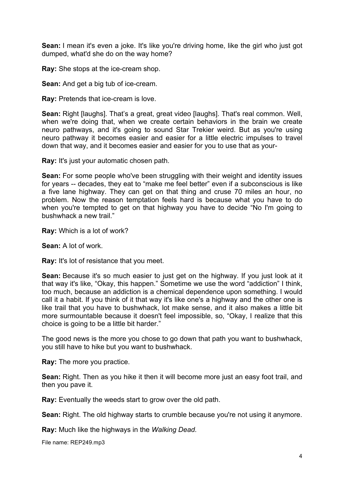**Sean:** I mean it's even a joke. It's like you're driving home, like the girl who just got dumped, what'd she do on the way home?

**Ray:** She stops at the ice-cream shop.

**Sean:** And get a big tub of ice-cream.

**Ray:** Pretends that ice-cream is love.

**Sean:** Right [laughs]. That's a great, great video [laughs]. That's real common. Well, when we're doing that, when we create certain behaviors in the brain we create neuro pathways, and it's going to sound Star Trekier weird. But as you're using neuro pathway it becomes easier and easier for a little electric impulses to travel down that way, and it becomes easier and easier for you to use that as your-

**Ray:** It's just your automatic chosen path.

**Sean:** For some people who've been struggling with their weight and identity issues for years -- decades, they eat to "make me feel better" even if a subconscious is like a five lane highway. They can get on that thing and cruse 70 miles an hour, no problem. Now the reason temptation feels hard is because what you have to do when you're tempted to get on that highway you have to decide "No I'm going to bushwhack a new trail."

**Ray:** Which is a lot of work?

**Sean:** A lot of work.

**Ray:** It's lot of resistance that you meet.

**Sean:** Because it's so much easier to just get on the highway. If you just look at it that way it's like, "Okay, this happen." Sometime we use the word "addiction" I think, too much, because an addiction is a chemical dependence upon something. I would call it a habit. If you think of it that way it's like one's a highway and the other one is like trail that you have to bushwhack, lot make sense, and it also makes a little bit more surmountable because it doesn't feel impossible, so, "Okay, I realize that this choice is going to be a little bit harder."

The good news is the more you chose to go down that path you want to bushwhack, you still have to hike but you want to bushwhack.

**Ray:** The more you practice.

**Sean:** Right. Then as you hike it then it will become more just an easy foot trail, and then you pave it.

**Ray:** Eventually the weeds start to grow over the old path.

**Sean:** Right. The old highway starts to crumble because you're not using it anymore.

**Ray:** Much like the highways in the *Walking Dead.*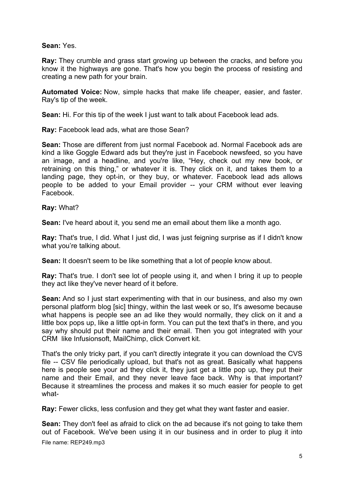## **Sean:** Yes.

**Ray:** They crumble and grass start growing up between the cracks, and before you know it the highways are gone. That's how you begin the process of resisting and creating a new path for your brain.

**Automated Voice:** Now, simple hacks that make life cheaper, easier, and faster. Ray's tip of the week.

**Sean:** Hi. For this tip of the week I just want to talk about Facebook lead ads.

**Ray:** Facebook lead ads, what are those Sean?

**Sean:** Those are different from just normal Facebook ad. Normal Facebook ads are kind a like Goggle Edward ads but they're just in Facebook newsfeed, so you have an image, and a headline, and you're like, "Hey, check out my new book, or retraining on this thing," or whatever it is. They click on it, and takes them to a landing page, they opt-in, or they buy, or whatever. Facebook lead ads allows people to be added to your Email provider -- your CRM without ever leaving Facebook.

**Ray:** What?

**Sean:** I've heard about it, you send me an email about them like a month ago.

**Ray:** That's true, I did. What I just did, I was just feigning surprise as if I didn't know what you're talking about.

**Sean:** It doesn't seem to be like something that a lot of people know about.

**Ray:** That's true. I don't see lot of people using it, and when I bring it up to people they act like they've never heard of it before.

**Sean:** And so I just start experimenting with that in our business, and also my own personal platform blog [sic] thingy, within the last week or so, It's awesome because what happens is people see an ad like they would normally, they click on it and a little box pops up, like a little opt-in form. You can put the text that's in there, and you say why should put their name and their email. Then you got integrated with your CRM like Infusionsoft, MailChimp, click Convert kit.

That's the only tricky part, if you can't directly integrate it you can download the CVS file -- CSV file periodically upload, but that's not as great. Basically what happens here is people see your ad they click it, they just get a little pop up, they put their name and their Email, and they never leave face back. Why is that important? Because it streamlines the process and makes it so much easier for people to get what-

**Ray:** Fewer clicks, less confusion and they get what they want faster and easier.

**Sean:** They don't feel as afraid to click on the ad because it's not going to take them out of Facebook. We've been using it in our business and in order to plug it into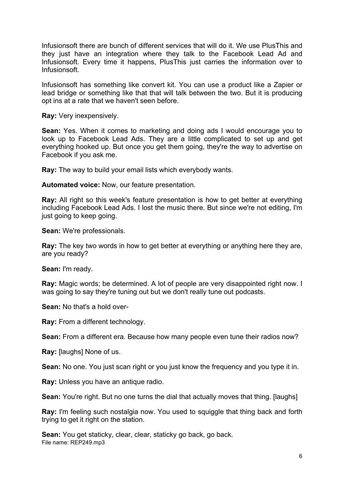Infusionsoft there are bunch of different services that will do it. We use PlusThis and they just have an integration where they talk to the Facebook Lead Ad and Infusionsoft. Every time it happens, PlusThis just carries the information over to Infusionsoft.

Infusionsoft has something like convert kit. You can use a product like a Zapier or lead bridge or something like that that will talk between the two. But it is producing opt ins at a rate that we haven't seen before.

**Ray:** Very inexpensively.

**Sean:** Yes. When it comes to marketing and doing ads I would encourage you to look up to Facebook Lead Ads. They are a little complicated to set up and get everything hooked up. But once you get them going, they're the way to advertise on Facebook if you ask me.

**Ray:** The way to build your email lists which everybody wants.

**Automated voice:** Now, our feature presentation.

**Ray:** All right so this week's feature presentation is how to get better at everything including Facebook Lead Ads. I lost the music there. But since we're not editing, I'm just going to keep going.

**Sean:** We're professionals.

**Ray:** The key two words in how to get better at everything or anything here they are, are you ready?

**Sean:** I'm ready.

**Ray:** Magic words; be determined. A lot of people are very disappointed right now. I was going to say they're tuning out but we don't really tune out podcasts.

**Sean:** No that's a hold over-

**Ray:** From a different technology.

**Sean:** From a different era. Because how many people even tune their radios now?

**Ray:** [laughs] None of us.

**Sean:** No one. You just scan right or you just know the frequency and you type it in.

**Ray:** Unless you have an antique radio.

**Sean:** You're right. But no one turns the dial that actually moves that thing. [laughs]

**Ray:** I'm feeling such nostalgia now. You used to squiggle that thing back and forth trying to get it right on the station.

File name: REP249.mp3 **Sean:** You get staticky, clear, clear, staticky go back, go back.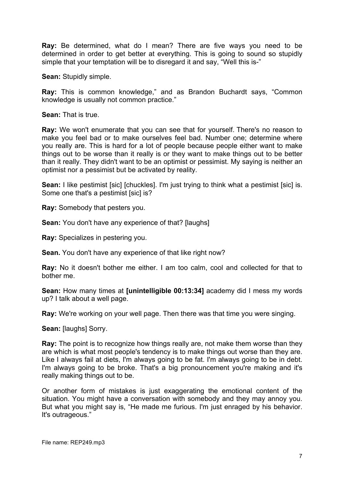**Ray:** Be determined, what do I mean? There are five ways you need to be determined in order to get better at everything. This is going to sound so stupidly simple that your temptation will be to disregard it and say, "Well this is-"

**Sean:** Stupidly simple.

**Ray:** This is common knowledge," and as Brandon Buchardt says, "Common knowledge is usually not common practice."

**Sean:** That is true.

**Ray:** We won't enumerate that you can see that for yourself. There's no reason to make you feel bad or to make ourselves feel bad. Number one; determine where you really are. This is hard for a lot of people because people either want to make things out to be worse than it really is or they want to make things out to be better than it really. They didn't want to be an optimist or pessimist. My saying is neither an optimist nor a pessimist but be activated by reality.

**Sean:** I like pestimist [sic] [chuckles]. I'm just trying to think what a pestimist [sic] is. Some one that's a pestimist [sic] is?

**Ray:** Somebody that pesters you.

**Sean:** You don't have any experience of that? [laughs]

**Ray:** Specializes in pestering you.

**Sean.** You don't have any experience of that like right now?

**Ray:** No it doesn't bother me either. I am too calm, cool and collected for that to bother me.

**Sean:** How many times at **[unintelligible 00:13:34]** academy did I mess my words up? I talk about a well page.

**Ray:** We're working on your well page. Then there was that time you were singing.

**Sean:** [laughs] Sorry.

**Ray:** The point is to recognize how things really are, not make them worse than they are which is what most people's tendency is to make things out worse than they are. Like I always fail at diets, I'm always going to be fat. I'm always going to be in debt. I'm always going to be broke. That's a big pronouncement you're making and it's really making things out to be.

Or another form of mistakes is just exaggerating the emotional content of the situation. You might have a conversation with somebody and they may annoy you. But what you might say is, "He made me furious. I'm just enraged by his behavior. It's outrageous."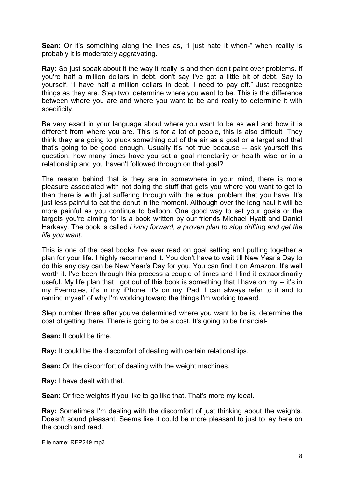**Sean:** Or it's something along the lines as, "I just hate it when-" when reality is probably it is moderately aggravating.

**Ray:** So just speak about it the way it really is and then don't paint over problems. If you're half a million dollars in debt, don't say I've got a little bit of debt. Say to yourself, "I have half a million dollars in debt. I need to pay off." Just recognize things as they are. Step two; determine where you want to be. This is the difference between where you are and where you want to be and really to determine it with specificity.

Be very exact in your language about where you want to be as well and how it is different from where you are. This is for a lot of people, this is also difficult. They think they are going to pluck something out of the air as a goal or a target and that that's going to be good enough. Usually it's not true because -- ask yourself this question, how many times have you set a goal monetarily or health wise or in a relationship and you haven't followed through on that goal?

The reason behind that is they are in somewhere in your mind, there is more pleasure associated with not doing the stuff that gets you where you want to get to than there is with just suffering through with the actual problem that you have. It's just less painful to eat the donut in the moment. Although over the long haul it will be more painful as you continue to balloon. One good way to set your goals or the targets you're aiming for is a book written by our friends Michael Hyatt and Daniel Harkavy. The book is called *Living forward, a proven plan to stop drifting and get the life you want*.

This is one of the best books I've ever read on goal setting and putting together a plan for your life. I highly recommend it. You don't have to wait till New Year's Day to do this any day can be New Year's Day for you. You can find it on Amazon. It's well worth it. I've been through this process a couple of times and I find it extraordinarily useful. My life plan that I got out of this book is something that I have on my -- it's in my Evernotes, it's in my iPhone, it's on my iPad. I can always refer to it and to remind myself of why I'm working toward the things I'm working toward.

Step number three after you've determined where you want to be is, determine the cost of getting there. There is going to be a cost. It's going to be financial-

**Sean:** It could be time.

**Ray:** It could be the discomfort of dealing with certain relationships.

**Sean:** Or the discomfort of dealing with the weight machines.

**Ray:** I have dealt with that.

**Sean:** Or free weights if you like to go like that. That's more my ideal.

**Ray:** Sometimes I'm dealing with the discomfort of just thinking about the weights. Doesn't sound pleasant. Seems like it could be more pleasant to just to lay here on the couch and read.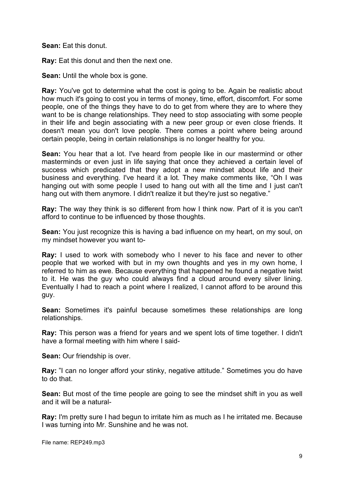**Sean:** Eat this donut.

**Ray:** Eat this donut and then the next one.

**Sean:** Until the whole box is gone.

**Ray:** You've got to determine what the cost is going to be. Again be realistic about how much it's going to cost you in terms of money, time, effort, discomfort. For some people, one of the things they have to do to get from where they are to where they want to be is change relationships. They need to stop associating with some people in their life and begin associating with a new peer group or even close friends. It doesn't mean you don't love people. There comes a point where being around certain people, being in certain relationships is no longer healthy for you.

**Sean:** You hear that a lot. I've heard from people like in our mastermind or other masterminds or even just in life saying that once they achieved a certain level of success which predicated that they adopt a new mindset about life and their business and everything. I've heard it a lot. They make comments like, "Oh I was hanging out with some people I used to hang out with all the time and I just can't hang out with them anymore. I didn't realize it but they're just so negative."

**Ray:** The way they think is so different from how I think now. Part of it is you can't afford to continue to be influenced by those thoughts.

**Sean:** You just recognize this is having a bad influence on my heart, on my soul, on my mindset however you want to-

**Ray:** I used to work with somebody who I never to his face and never to other people that we worked with but in my own thoughts and yes in my own home, I referred to him as ewe. Because everything that happened he found a negative twist to it. He was the guy who could always find a cloud around every silver lining. Eventually I had to reach a point where I realized, I cannot afford to be around this guy.

**Sean:** Sometimes it's painful because sometimes these relationships are long relationships.

**Ray:** This person was a friend for years and we spent lots of time together. I didn't have a formal meeting with him where I said-

**Sean:** Our friendship is over.

**Ray:** "I can no longer afford your stinky, negative attitude." Sometimes you do have to do that.

**Sean:** But most of the time people are going to see the mindset shift in you as well and it will be a natural-

**Ray:** I'm pretty sure I had begun to irritate him as much as I he irritated me. Because I was turning into Mr. Sunshine and he was not.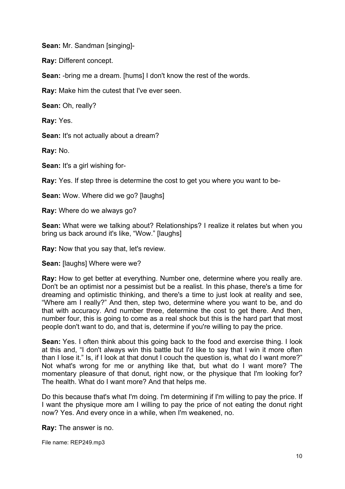**Sean:** Mr. Sandman [singing]-

**Ray:** Different concept.

**Sean:** -bring me a dream. [hums] I don't know the rest of the words.

**Ray:** Make him the cutest that I've ever seen.

**Sean:** Oh, really?

**Ray:** Yes.

**Sean:** It's not actually about a dream?

**Ray:** No.

**Sean:** It's a girl wishing for-

**Ray:** Yes. If step three is determine the cost to get you where you want to be-

**Sean:** Wow. Where did we go? [laughs]

**Ray:** Where do we always go?

**Sean:** What were we talking about? Relationships? I realize it relates but when you bring us back around it's like, "Wow." [laughs]

**Ray:** Now that you say that, let's review.

**Sean:** [laughs] Where were we?

**Ray:** How to get better at everything. Number one, determine where you really are. Don't be an optimist nor a pessimist but be a realist. In this phase, there's a time for dreaming and optimistic thinking, and there's a time to just look at reality and see, "Where am I really?" And then, step two, determine where you want to be, and do that with accuracy. And number three, determine the cost to get there. And then, number four, this is going to come as a real shock but this is the hard part that most people don't want to do, and that is, determine if you're willing to pay the price.

**Sean:** Yes. I often think about this going back to the food and exercise thing. I look at this and, "I don't always win this battle but I'd like to say that I win it more often than I lose it." Is, if I look at that donut I couch the question is, what do I want more?" Not what's wrong for me or anything like that, but what do I want more? The momentary pleasure of that donut, right now, or the physique that I'm looking for? The health. What do I want more? And that helps me.

Do this because that's what I'm doing. I'm determining if I'm willing to pay the price. If I want the physique more am I willing to pay the price of not eating the donut right now? Yes. And every once in a while, when I'm weakened, no.

**Ray:** The answer is no.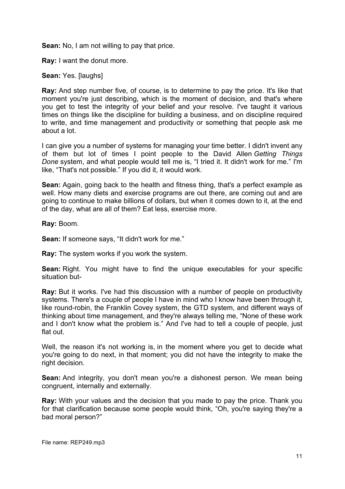**Sean:** No, I am not willing to pay that price.

**Ray:** I want the donut more.

**Sean:** Yes. [laughs]

**Ray:** And step number five, of course, is to determine to pay the price. It's like that moment you're just describing, which is the moment of decision, and that's where you get to test the integrity of your belief and your resolve. I've taught it various times on things like the discipline for building a business, and on discipline required to write, and time management and productivity or something that people ask me about a lot.

I can give you a number of systems for managing your time better. I didn't invent any of them but lot of times I point people to the David Allen *Getting Things Done* system, and what people would tell me is, "I tried it. It didn't work for me." I'm like, "That's not possible." If you did it, it would work.

**Sean:** Again, going back to the health and fitness thing, that's a perfect example as well. How many diets and exercise programs are out there, are coming out and are going to continue to make billions of dollars, but when it comes down to it, at the end of the day, what are all of them? Eat less, exercise more.

**Ray:** Boom.

**Sean:** If someone says, "It didn't work for me."

**Ray:** The system works if you work the system.

**Sean:** Right. You might have to find the unique executables for your specific situation but-

**Ray:** But it works. I've had this discussion with a number of people on productivity systems. There's a couple of people I have in mind who I know have been through it, like round-robin, the Franklin Covey system, the GTD system, and different ways of thinking about time management, and they're always telling me, "None of these work and I don't know what the problem is." And I've had to tell a couple of people, just flat out.

Well, the reason it's not working is, in the moment where you get to decide what you're going to do next, in that moment; you did not have the integrity to make the right decision.

**Sean:** And integrity, you don't mean you're a dishonest person. We mean being congruent, internally and externally.

**Ray:** With your values and the decision that you made to pay the price. Thank you for that clarification because some people would think, "Oh, you're saying they're a bad moral person?"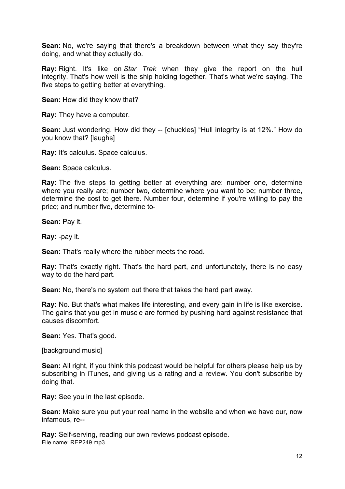**Sean:** No, we're saying that there's a breakdown between what they say they're doing, and what they actually do.

**Ray:** Right. It's like on *Star Trek* when they give the report on the hull integrity. That's how well is the ship holding together. That's what we're saying. The five steps to getting better at everything.

**Sean:** How did they know that?

**Ray:** They have a computer.

**Sean:** Just wondering. How did they -- [chuckles] "Hull integrity is at 12%." How do you know that? [laughs]

**Ray:** It's calculus. Space calculus.

**Sean:** Space calculus.

**Ray:** The five steps to getting better at everything are: number one, determine where you really are; number two, determine where you want to be; number three, determine the cost to get there. Number four, determine if you're willing to pay the price; and number five, determine to-

**Sean:** Pay it.

**Ray:** -pay it.

**Sean:** That's really where the rubber meets the road.

**Ray:** That's exactly right. That's the hard part, and unfortunately, there is no easy way to do the hard part.

**Sean:** No, there's no system out there that takes the hard part away.

**Ray:** No. But that's what makes life interesting, and every gain in life is like exercise. The gains that you get in muscle are formed by pushing hard against resistance that causes discomfort.

**Sean:** Yes. That's good.

[background music]

**Sean:** All right, if you think this podcast would be helpful for others please help us by subscribing in iTunes, and giving us a rating and a review. You don't subscribe by doing that.

**Ray:** See you in the last episode.

**Sean:** Make sure you put your real name in the website and when we have our, now infamous, re--

File name: REP249.mp3 **Ray:** Self-serving, reading our own reviews podcast episode.